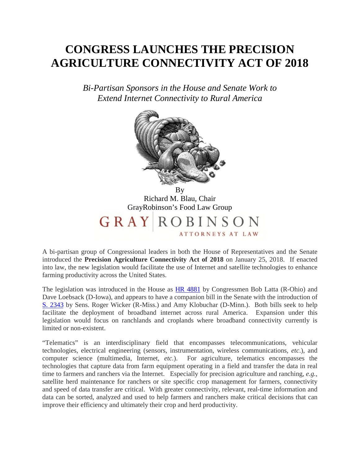## **CONGRESS LAUNCHES THE PRECISION AGRICULTURE CONNECTIVITY ACT OF 2018**

*Bi-Partisan Sponsors in the House and Senate Work to Extend Internet Connectivity to Rural America* 



By Richard M. Blau, Chair GrayRobinson's Food Law Group GRAY **ROBINSON ATTORNEYS AT LAW** 

A bi-partisan group of Congressional leaders in both the House of Representatives and the Senate introduced the **Precision Agriculture Connectivity Act of 2018** on January 25, 2018. If enacted into law, the new legislation would facilitate the use of Internet and satellite technologies to enhance farming productivity across the United States.

The legislation was introduced in the House as **[HR 4881](https://www.congress.gov/bill/115th-congress/house-bill/4881/text)** by Congressmen Bob Latta (R-Ohio) and Dave Loebsack (D-Iowa), and appears to have a companion bill in the Senate with the introduction of [S. 2343](https://www.congress.gov/bill/115th-congress/senate-bill/2343/text) by Sens. Roger Wicker (R-Miss.) and Amy Klobuchar (D-Minn.). Both bills seek to help facilitate the deployment of broadband internet across rural America. Expansion under this legislation would focus on ranchlands and croplands where broadband connectivity currently is limited or non-existent.

"Telematics" is an interdisciplinary field that encompasses telecommunications, vehicular technologies, electrical engineering (sensors, instrumentation, wireless communications, *etc*.), and computer science (multimedia, Internet, *etc.*). For agriculture, telematics encompasses the technologies that capture data from farm equipment operating in a field and transfer the data in real time to farmers and ranchers via the Internet. Especially for precision agriculture and ranching, *e.g.,* satellite herd maintenance for ranchers or site specific crop management for farmers, connectivity and speed of data transfer are critical. With greater connectivity, relevant, real-time information and data can be sorted, analyzed and used to help farmers and ranchers make critical decisions that can improve their efficiency and ultimately their crop and herd productivity.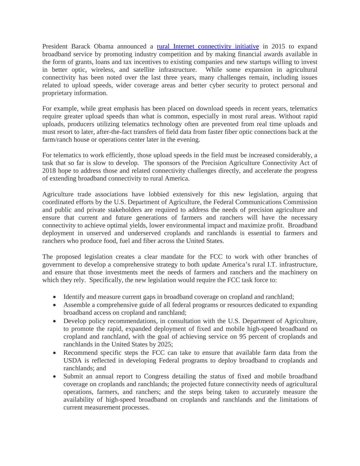President Barack Obama announced a [rural Internet connectivity initiative](http://www.washingtonexaminer.com/obama-to-push-for-better-internet-access-in-rural-areas/article/2558632) in 2015 to expand broadband service by promoting industry competition and by making financial awards available in the form of grants, loans and tax incentives to existing companies and new startups willing to invest in better optic, wireless, and satellite infrastructure. While some expansion in agricultural connectivity has been noted over the last three years, many challenges remain, including issues related to upload speeds, wider coverage areas and better cyber security to protect personal and proprietary information.

For example, while great emphasis has been placed on download speeds in recent years, telematics require greater upload speeds than what is common, especially in most rural areas. Without rapid uploads, producers utilizing telematics technology often are prevented from real time uploads and must resort to later, after-the-fact transfers of field data from faster fiber optic connections back at the farm/ranch house or operations center later in the evening.

For telematics to work efficiently, those upload speeds in the field must be increased considerably, a task that so far is slow to develop. The sponsors of the Precision Agriculture Connectivity Act of 2018 hope to address those and related connectivity challenges directly, and accelerate the progress of extending broadband connectivity to rural America.

Agriculture trade associations have lobbied extensively for this new legislation, arguing that coordinated efforts by the U.S. Department of Agriculture, the Federal Communications Commission and public and private stakeholders are required to address the needs of precision agriculture and ensure that current and future generations of farmers and ranchers will have the necessary connectivity to achieve optimal yields, lower environmental impact and maximize profit. Broadband deployment in unserved and underserved croplands and ranchlands is essential to farmers and ranchers who produce food, fuel and fiber across the United States.

The proposed legislation creates a clear mandate for the FCC to work with other branches of government to develop a comprehensive strategy to both update America's rural I.T. infrastructure, and ensure that those investments meet the needs of farmers and ranchers and the machinery on which they rely. Specifically, the new legislation would require the FCC task force to:

- Identify and measure current gaps in broadband coverage on cropland and ranchland;
- Assemble a comprehensive guide of all federal programs or resources dedicated to expanding broadband access on cropland and ranchland;
- Develop policy recommendations, in consultation with the U.S. Department of Agriculture, to promote the rapid, expanded deployment of fixed and mobile high-speed broadband on cropland and ranchland, with the goal of achieving service on 95 percent of croplands and ranchlands in the United States by 2025;
- Recommend specific steps the FCC can take to ensure that available farm data from the USDA is reflected in developing Federal programs to deploy broadband to croplands and ranchlands; and
- Submit an annual report to Congress detailing the status of fixed and mobile broadband coverage on croplands and ranchlands; the projected future connectivity needs of agricultural operations, farmers, and ranchers; and the steps being taken to accurately measure the availability of high-speed broadband on croplands and ranchlands and the limitations of current measurement processes.